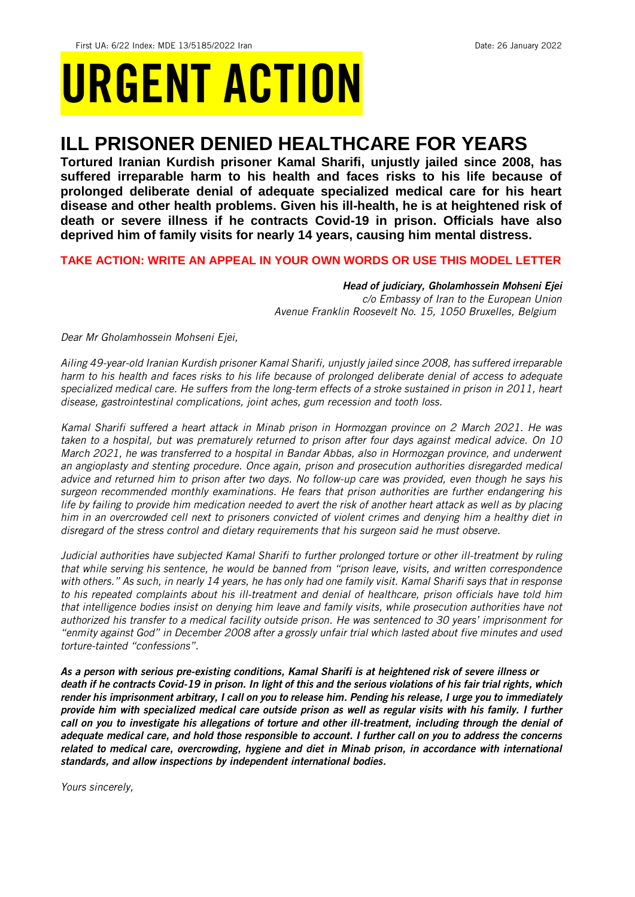# URGENT ACTION

## **ILL PRISONER DENIED HEALTHCARE FOR YEARS**

**Tortured Iranian Kurdish prisoner Kamal Sharifi, unjustly jailed since 2008, has suffered irreparable harm to his health and faces risks to his life because of prolonged deliberate denial of adequate specialized medical care for his heart disease and other health problems. Given his ill-health, he is at heightened risk of death or severe illness if he contracts Covid-19 in prison. Officials have also deprived him of family visits for nearly 14 years, causing him mental distress.** 

### **TAKE ACTION: WRITE AN APPEAL IN YOUR OWN WORDS OR USE THIS MODEL LETTER**

*Head of judiciary, Gholamhossein Mohseni Ejei c/o Embassy of Iran to the European Union Avenue Franklin Roosevelt No. 15, 1050 Bruxelles, Belgium*

*Dear Mr Gholamhossein Mohseni Ejei,* 

*Ailing 49-year-old Iranian Kurdish prisoner Kamal Sharifi, unjustly jailed since 2008, has suffered irreparable harm to his health and faces risks to his life because of prolonged deliberate denial of access to adequate specialized medical care. He suffers from the long-term effects of a stroke sustained in prison in 2011, heart disease, gastrointestinal complications, joint aches, gum recession and tooth loss.*

*Kamal Sharifi suffered a heart attack in Minab prison in Hormozgan province on 2 March 2021. He was taken to a hospital, but was prematurely returned to prison after four days against medical advice. On 10 March 2021, he was transferred to a hospital in Bandar Abbas, also in Hormozgan province, and underwent an angioplasty and stenting procedure. Once again, prison and prosecution authorities disregarded medical advice and returned him to prison after two days. No follow-up care was provided, even though he says his surgeon recommended monthly examinations. He fears that prison authorities are further endangering his life by failing to provide him medication needed to avert the risk of another heart attack as well as by placing him in an overcrowded cell next to prisoners convicted of violent crimes and denying him a healthy diet in disregard of the stress control and dietary requirements that his surgeon said he must observe.* 

*Judicial authorities have subjected Kamal Sharifi to further prolonged torture or other ill-treatment by ruling that while serving his sentence, he would be banned from "prison leave, visits, and written correspondence with others." As such, in nearly 14 years, he has only had one family visit. Kamal Sharifi says that in response to his repeated complaints about his ill-treatment and denial of healthcare, prison officials have told him that intelligence bodies insist on denying him leave and family visits, while prosecution authorities have not authorized his transfer to a medical facility outside prison. He was sentenced to 30 years' imprisonment for "enmity against God" in December 2008 after a grossly unfair trial which lasted about five minutes and used torture-tainted "confessions".* 

*As a person with serious pre-existing conditions, Kamal Sharifi is at heightened risk of severe illness or death if he contracts Covid-19 in prison. In light of this and the serious violations of his fair trial rights, which render his imprisonment arbitrary, I call on you to release him. Pending his release, I urge you to immediately provide him with specialized medical care outside prison as well as regular visits with his family. I further call on you to investigate his allegations of torture and other ill-treatment, including through the denial of adequate medical care, and hold those responsible to account. I further call on you to address the concerns related to medical care, overcrowding, hygiene and diet in Minab prison, in accordance with international standards, and allow inspections by independent international bodies.*

*Yours sincerely,*